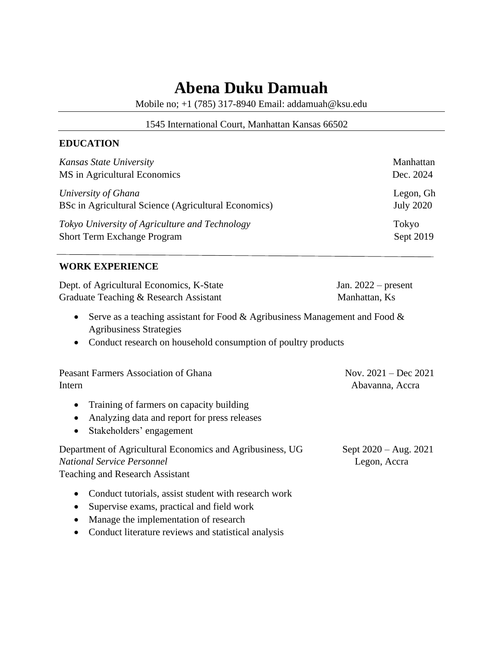# **Abena Duku Damuah**

Mobile no; +1 (785) 317-8940 Email: addamuah@ksu.edu

#### 1545 International Court, Manhattan Kansas 66502

### **EDUCATION**

| Kansas State University                              | Manhattan        |
|------------------------------------------------------|------------------|
| MS in Agricultural Economics                         | Dec. 2024        |
| University of Ghana                                  | Legon, Gh        |
| BSc in Agricultural Science (Agricultural Economics) | <b>July 2020</b> |
| Tokyo University of Agriculture and Technology       | Tokyo            |
| <b>Short Term Exchange Program</b>                   | Sept 2019        |

### **WORK EXPERIENCE**

| Dept. of Agricultural Economics, K-State | Jan. $2022$ – present |
|------------------------------------------|-----------------------|
| Graduate Teaching & Research Assistant   | Manhattan, Ks         |

- Serve as a teaching assistant for Food  $&$  Agribusiness Management and Food  $&$ Agribusiness Strategies
- Conduct research on household consumption of poultry products

| Peasant Farmers Association of Ghana | Nov. $2021 - Dec 2021$ |
|--------------------------------------|------------------------|
| Intern                               | Abavanna, Accra        |

- Training of farmers on capacity building
- Analyzing data and report for press releases
- Stakeholders' engagement

Department of Agricultural Economics and Agribusiness, UG Sept 2020 – Aug. 2021 *National Service Personnel* Legon, Accra Teaching and Research Assistant

- Conduct tutorials, assist student with research work
- Supervise exams, practical and field work
- Manage the implementation of research
- Conduct literature reviews and statistical analysis